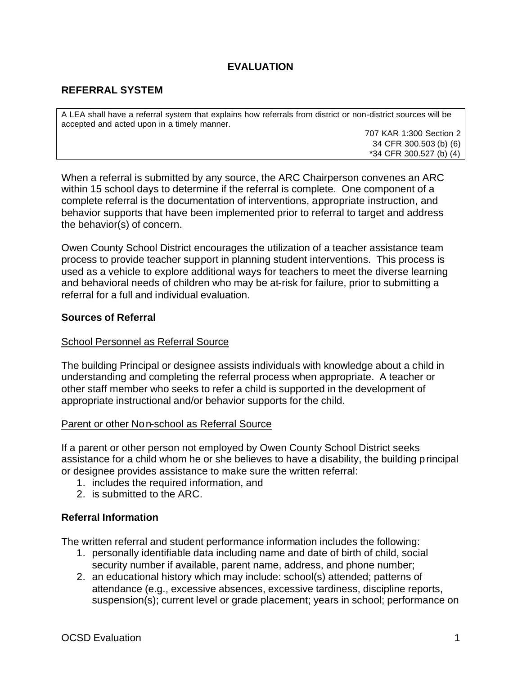# **EVALUATION**

# **REFERRAL SYSTEM**

A LEA shall have a referral system that explains how referrals from district or non-district sources will be accepted and acted upon in a timely manner.

707 KAR 1:300 Section 2 34 CFR 300.503 (b) (6) \*34 CFR 300.527 (b) (4)

When a referral is submitted by any source, the ARC Chairperson convenes an ARC within 15 school days to determine if the referral is complete. One component of a complete referral is the documentation of interventions, appropriate instruction, and behavior supports that have been implemented prior to referral to target and address the behavior(s) of concern.

Owen County School District encourages the utilization of a teacher assistance team process to provide teacher support in planning student interventions. This process is used as a vehicle to explore additional ways for teachers to meet the diverse learning and behavioral needs of children who may be at-risk for failure, prior to submitting a referral for a full and individual evaluation.

#### **Sources of Referral**

#### School Personnel as Referral Source

The building Principal or designee assists individuals with knowledge about a child in understanding and completing the referral process when appropriate. A teacher or other staff member who seeks to refer a child is supported in the development of appropriate instructional and/or behavior supports for the child.

#### Parent or other Non-school as Referral Source

If a parent or other person not employed by Owen County School District seeks assistance for a child whom he or she believes to have a disability, the building principal or designee provides assistance to make sure the written referral:

- 1. includes the required information, and
- 2. is submitted to the ARC.

## **Referral Information**

The written referral and student performance information includes the following:

- 1. personally identifiable data including name and date of birth of child, social security number if available, parent name, address, and phone number;
- 2. an educational history which may include: school(s) attended; patterns of attendance (e.g., excessive absences, excessive tardiness, discipline reports, suspension(s); current level or grade placement; years in school; performance on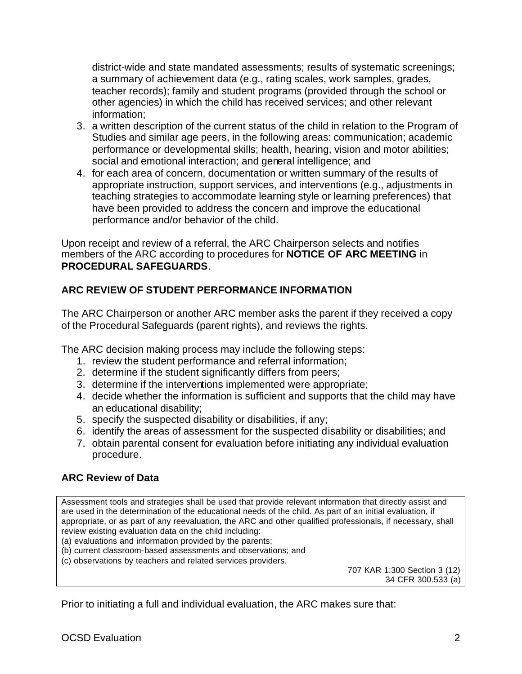district-wide and state mandated assessments; results of systematic screenings; a summary of achievement data (e.g., rating scales, work samples, grades, teacher records); family and student programs (provided through the school or other agencies) in which the child has received services; and other relevant information;

- 3. a written description of the current status of the child in relation to the Program of Studies and similar age peers, in the following areas: communication; academic performance or developmental skills; health, hearing, vision and motor abilities; social and emotional interaction; and general intelligence; and
- 4. for each area of concern, documentation or written summary of the results of appropriate instruction, support services, and interventions (e.g., adjustments in teaching strategies to accommodate learning style or learning preferences) that have been provided to address the concern and improve the educational performance and/or behavior of the child.

Upon receipt and review of a referral, the ARC Chairperson selects and notifies members of the ARC according to procedures for **NOTICE OF ARC MEETING** in **PROCEDURAL SAFEGUARDS**.

# **ARC REVIEW OF STUDENT PERFORMANCE INFORMATION**

The ARC Chairperson or another ARC member asks the parent if they received a copy of the Procedural Safeguards (parent rights), and reviews the rights.

The ARC decision making process may include the following steps:

- 1. review the student performance and referral information;
- 2. determine if the student significantly differs from peers;
- 3. determine if the interventions implemented were appropriate;
- 4. decide whether the information is sufficient and supports that the child may have an educational disability;
- 5. specify the suspected disability or disabilities, if any;
- 6. identify the areas of assessment for the suspected disability or disabilities; and
- 7. obtain parental consent for evaluation before initiating any individual evaluation procedure.

# **ARC Review of Data**

Assessment tools and strategies shall be used that provide relevant information that directly assist and are used in the determination of the educational needs of the child. As part of an initial evaluation, if appropriate, or as part of any reevaluation, the ARC and other qualified professionals, if necessary, shall review existing evaluation data on the child including:

(a) evaluations and information provided by the parents;

- (b) current classroom-based assessments and observations; and
- (c) observations by teachers and related services providers.

707 KAR 1:300 Section 3 (12) 34 CFR 300.533 (a)

Prior to initiating a full and individual evaluation, the ARC makes sure that: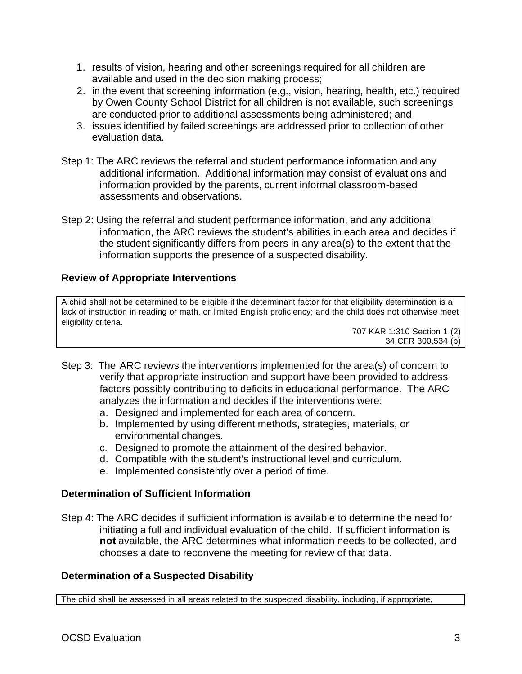- 1. results of vision, hearing and other screenings required for all children are available and used in the decision making process;
- 2. in the event that screening information (e.g., vision, hearing, health, etc.) required by Owen County School District for all children is not available, such screenings are conducted prior to additional assessments being administered; and
- 3. issues identified by failed screenings are addressed prior to collection of other evaluation data.
- Step 1: The ARC reviews the referral and student performance information and any additional information. Additional information may consist of evaluations and information provided by the parents, current informal classroom-based assessments and observations.
- Step 2: Using the referral and student performance information, and any additional information, the ARC reviews the student's abilities in each area and decides if the student significantly differs from peers in any area(s) to the extent that the information supports the presence of a suspected disability.

## **Review of Appropriate Interventions**

A child shall not be determined to be eligible if the determinant factor for that eligibility determination is a lack of instruction in reading or math, or limited English proficiency; and the child does not otherwise meet eligibility criteria.

707 KAR 1:310 Section 1 (2) 34 CFR 300.534 (b)

- Step 3: The ARC reviews the interventions implemented for the area(s) of concern to verify that appropriate instruction and support have been provided to address factors possibly contributing to deficits in educational performance. The ARC analyzes the information and decides if the interventions were:
	- a. Designed and implemented for each area of concern.
	- b. Implemented by using different methods, strategies, materials, or environmental changes.
	- c. Designed to promote the attainment of the desired behavior.
	- d. Compatible with the student's instructional level and curriculum.
	- e. Implemented consistently over a period of time.

## **Determination of Sufficient Information**

Step 4: The ARC decides if sufficient information is available to determine the need for initiating a full and individual evaluation of the child. If sufficient information is **not** available, the ARC determines what information needs to be collected, and chooses a date to reconvene the meeting for review of that data.

## **Determination of a Suspected Disability**

The child shall be assessed in all areas related to the suspected disability, including, if appropriate,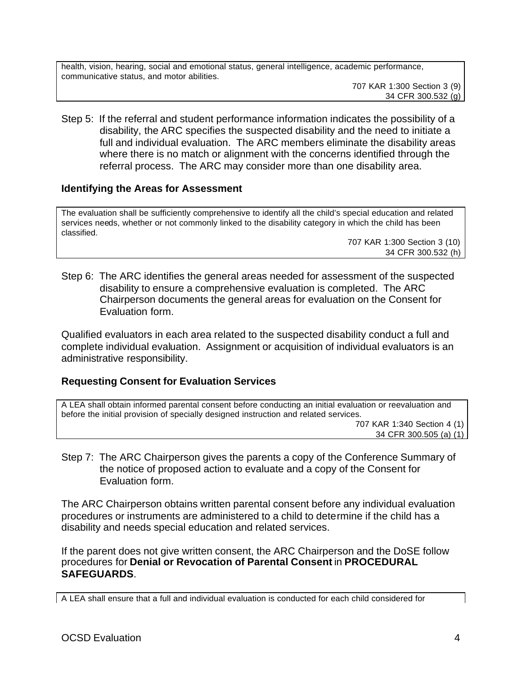health, vision, hearing, social and emotional status, general intelligence, academic performance, communicative status, and motor abilities.

707 KAR 1:300 Section 3 (9) 34 CFR 300.532 (g)

Step 5: If the referral and student performance information indicates the possibility of a disability, the ARC specifies the suspected disability and the need to initiate a full and individual evaluation. The ARC members eliminate the disability areas where there is no match or alignment with the concerns identified through the referral process. The ARC may consider more than one disability area.

#### **Identifying the Areas for Assessment**

The evaluation shall be sufficiently comprehensive to identify all the child's special education and related services needs, whether or not commonly linked to the disability category in which the child has been classified.

707 KAR 1:300 Section 3 (10) 34 CFR 300.532 (h)

Step 6: The ARC identifies the general areas needed for assessment of the suspected disability to ensure a comprehensive evaluation is completed. The ARC Chairperson documents the general areas for evaluation on the Consent for Evaluation form.

Qualified evaluators in each area related to the suspected disability conduct a full and complete individual evaluation. Assignment or acquisition of individual evaluators is an administrative responsibility.

## **Requesting Consent for Evaluation Services**

A LEA shall obtain informed parental consent before conducting an initial evaluation or reevaluation and before the initial provision of specially designed instruction and related services.

707 KAR 1:340 Section 4 (1) 34 CFR 300.505 (a) (1)

Step 7: The ARC Chairperson gives the parents a copy of the Conference Summary of the notice of proposed action to evaluate and a copy of the Consent for Evaluation form.

The ARC Chairperson obtains written parental consent before any individual evaluation procedures or instruments are administered to a child to determine if the child has a disability and needs special education and related services.

If the parent does not give written consent, the ARC Chairperson and the DoSE follow procedures for **Denial or Revocation of Parental Consent** in **PROCEDURAL SAFEGUARDS**.

A LEA shall ensure that a full and individual evaluation is conducted for each child considered for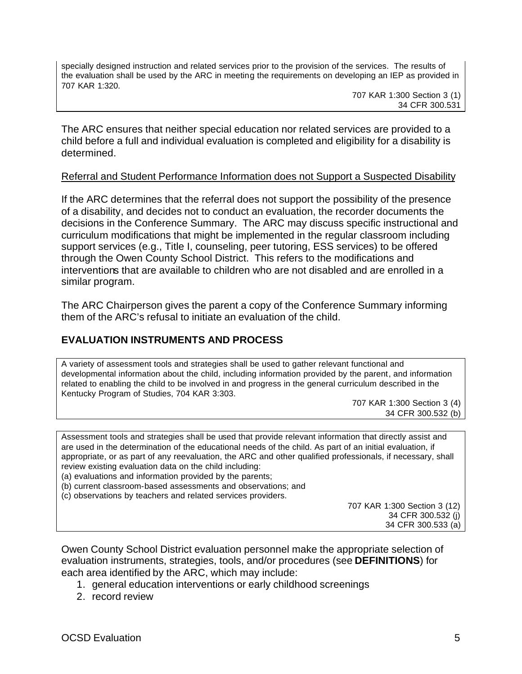specially designed instruction and related services prior to the provision of the services. The results of the evaluation shall be used by the ARC in meeting the requirements on developing an IEP as provided in 707 KAR 1:320.

707 KAR 1:300 Section 3 (1) 34 CFR 300.531

The ARC ensures that neither special education nor related services are provided to a child before a full and individual evaluation is completed and eligibility for a disability is determined.

#### Referral and Student Performance Information does not Support a Suspected Disability

If the ARC determines that the referral does not support the possibility of the presence of a disability, and decides not to conduct an evaluation, the recorder documents the decisions in the Conference Summary. The ARC may discuss specific instructional and curriculum modifications that might be implemented in the regular classroom including support services (e.g., Title I, counseling, peer tutoring, ESS services) to be offered through the Owen County School District. This refers to the modifications and interventions that are available to children who are not disabled and are enrolled in a similar program.

The ARC Chairperson gives the parent a copy of the Conference Summary informing them of the ARC's refusal to initiate an evaluation of the child.

# **EVALUATION INSTRUMENTS AND PROCESS**

A variety of assessment tools and strategies shall be used to gather relevant functional and developmental information about the child, including information provided by the parent, and information related to enabling the child to be involved in and progress in the general curriculum described in the Kentucky Program of Studies, 704 KAR 3:303.

707 KAR 1:300 Section 3 (4) 34 CFR 300.532 (b)

Assessment tools and strategies shall be used that provide relevant information that directly assist and are used in the determination of the educational needs of the child. As part of an initial evaluation, if appropriate, or as part of any reevaluation, the ARC and other qualified professionals, if necessary, shall review existing evaluation data on the child including:

(a) evaluations and information provided by the parents;

- (b) current classroom-based assessments and observations; and
- (c) observations by teachers and related services providers.

707 KAR 1:300 Section 3 (12) 34 CFR 300.532 (j) 34 CFR 300.533 (a)

Owen County School District evaluation personnel make the appropriate selection of evaluation instruments, strategies, tools, and/or procedures (see **DEFINITIONS**) for each area identified by the ARC, which may include:

- 1. general education interventions or early childhood screenings
- 2. record review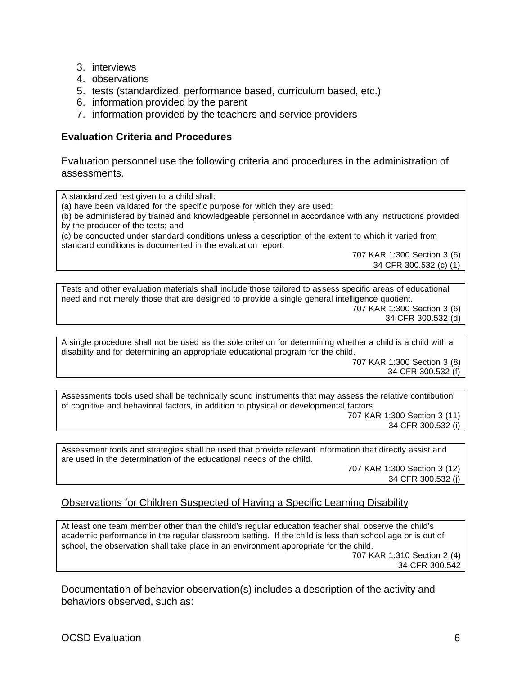- 3. interviews
- 4. observations
- 5. tests (standardized, performance based, curriculum based, etc.)
- 6. information provided by the parent
- 7. information provided by the teachers and service providers

#### **Evaluation Criteria and Procedures**

Evaluation personnel use the following criteria and procedures in the administration of assessments.

A standardized test given to a child shall: (a) have been validated for the specific purpose for which they are used; (b) be administered by trained and knowledgeable personnel in accordance with any instructions provided by the producer of the tests; and (c) be conducted under standard conditions unless a description of the extent to which it varied from standard conditions is documented in the evaluation report. 707 KAR 1:300 Section 3 (5) 34 CFR 300.532 (c) (1) Tests and other evaluation materials shall include those tailored to assess specific areas of educational need and not merely those that are designed to provide a single general intelligence quotient.

707 KAR 1:300 Section 3 (6) 34 CFR 300.532 (d)

A single procedure shall not be used as the sole criterion for determining whether a child is a child with a disability and for determining an appropriate educational program for the child. 707 KAR 1:300 Section 3 (8)

34 CFR 300.532 (f)

Assessments tools used shall be technically sound instruments that may assess the relative contribution of cognitive and behavioral factors, in addition to physical or developmental factors. 707 KAR 1:300 Section 3 (11) 34 CFR 300.532 (i)

Assessment tools and strategies shall be used that provide relevant information that directly assist and are used in the determination of the educational needs of the child.

707 KAR 1:300 Section 3 (12) 34 CFR 300.532 (j)

## Observations for Children Suspected of Having a Specific Learning Disability

At least one team member other than the child's regular education teacher shall observe the child's academic performance in the regular classroom setting. If the child is less than school age or is out of school, the observation shall take place in an environment appropriate for the child. 707 KAR 1:310 Section 2 (4) 34 CFR 300.542

Documentation of behavior observation(s) includes a description of the activity and behaviors observed, such as: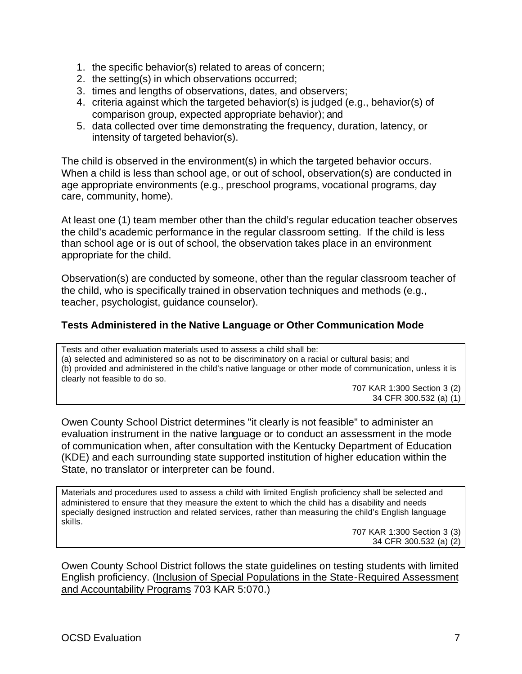- 1. the specific behavior(s) related to areas of concern;
- 2. the setting(s) in which observations occurred;
- 3. times and lengths of observations, dates, and observers;
- 4. criteria against which the targeted behavior(s) is judged (e.g., behavior(s) of comparison group, expected appropriate behavior); and
- 5. data collected over time demonstrating the frequency, duration, latency, or intensity of targeted behavior(s).

The child is observed in the environment(s) in which the targeted behavior occurs. When a child is less than school age, or out of school, observation(s) are conducted in age appropriate environments (e.g., preschool programs, vocational programs, day care, community, home).

At least one (1) team member other than the child's regular education teacher observes the child's academic performance in the regular classroom setting. If the child is less than school age or is out of school, the observation takes place in an environment appropriate for the child.

Observation(s) are conducted by someone, other than the regular classroom teacher of the child, who is specifically trained in observation techniques and methods (e.g., teacher, psychologist, guidance counselor).

## **Tests Administered in the Native Language or Other Communication Mode**

Tests and other evaluation materials used to assess a child shall be: (a) selected and administered so as not to be discriminatory on a racial or cultural basis; and (b) provided and administered in the child's native language or other mode of communication, unless it is clearly not feasible to do so.

> 707 KAR 1:300 Section 3 (2) 34 CFR 300.532 (a) (1)

Owen County School District determines "it clearly is not feasible" to administer an evaluation instrument in the native language or to conduct an assessment in the mode of communication when, after consultation with the Kentucky Department of Education (KDE) and each surrounding state supported institution of higher education within the State, no translator or interpreter can be found.

Materials and procedures used to assess a child with limited English proficiency shall be selected and administered to ensure that they measure the extent to which the child has a disability and needs specially designed instruction and related services, rather than measuring the child's English language skills.

> 707 KAR 1:300 Section 3 (3) 34 CFR 300.532 (a) (2)

Owen County School District follows the state guidelines on testing students with limited English proficiency. (Inclusion of Special Populations in the State-Required Assessment and Accountability Programs 703 KAR 5:070.)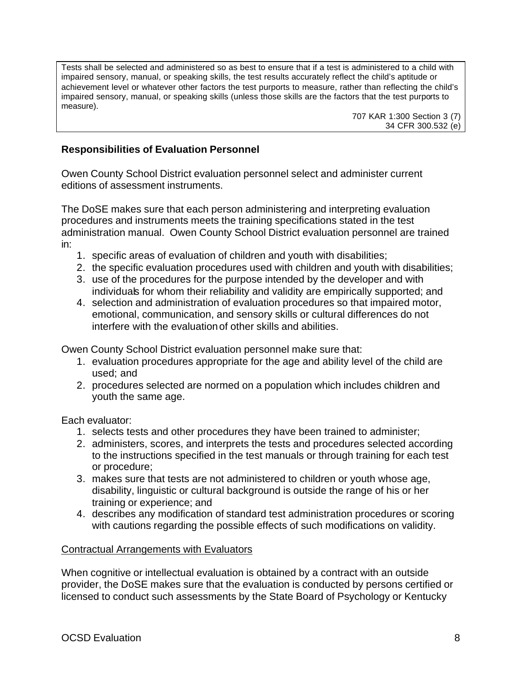Tests shall be selected and administered so as best to ensure that if a test is administered to a child with impaired sensory, manual, or speaking skills, the test results accurately reflect the child's aptitude or achievement level or whatever other factors the test purports to measure, rather than reflecting the child's impaired sensory, manual, or speaking skills (unless those skills are the factors that the test purports to measure).

707 KAR 1:300 Section 3 (7) 34 CFR 300.532 (e)

## **Responsibilities of Evaluation Personnel**

Owen County School District evaluation personnel select and administer current editions of assessment instruments.

The DoSE makes sure that each person administering and interpreting evaluation procedures and instruments meets the training specifications stated in the test administration manual. Owen County School District evaluation personnel are trained in:

- 1. specific areas of evaluation of children and youth with disabilities;
- 2. the specific evaluation procedures used with children and youth with disabilities;
- 3. use of the procedures for the purpose intended by the developer and with individuals for whom their reliability and validity are empirically supported; and
- 4. selection and administration of evaluation procedures so that impaired motor, emotional, communication, and sensory skills or cultural differences do not interfere with the evaluation of other skills and abilities.

Owen County School District evaluation personnel make sure that:

- 1. evaluation procedures appropriate for the age and ability level of the child are used; and
- 2. procedures selected are normed on a population which includes children and youth the same age.

Each evaluator:

- 1. selects tests and other procedures they have been trained to administer;
- 2. administers, scores, and interprets the tests and procedures selected according to the instructions specified in the test manuals or through training for each test or procedure;
- 3. makes sure that tests are not administered to children or youth whose age, disability, linguistic or cultural background is outside the range of his or her training or experience; and
- 4. describes any modification of standard test administration procedures or scoring with cautions regarding the possible effects of such modifications on validity.

#### Contractual Arrangements with Evaluators

When cognitive or intellectual evaluation is obtained by a contract with an outside provider, the DoSE makes sure that the evaluation is conducted by persons certified or licensed to conduct such assessments by the State Board of Psychology or Kentucky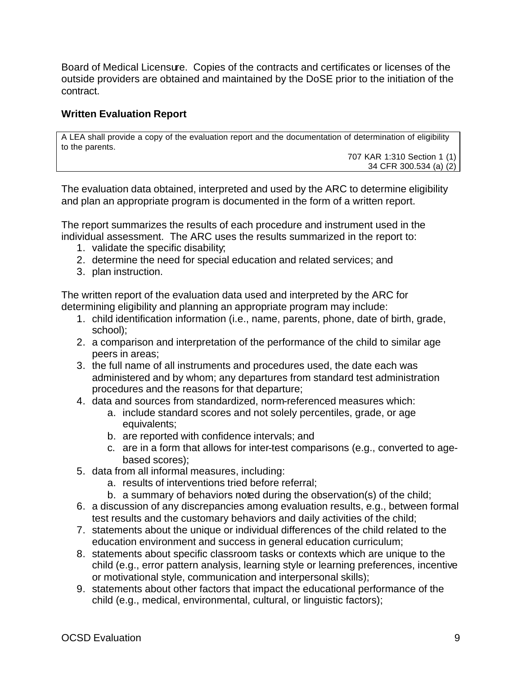Board of Medical Licensure. Copies of the contracts and certificates or licenses of the outside providers are obtained and maintained by the DoSE prior to the initiation of the contract.

## **Written Evaluation Report**

A LEA shall provide a copy of the evaluation report and the documentation of determination of eligibility to the parents.

707 KAR 1:310 Section 1 (1) 34 CFR 300.534 (a) (2)

The evaluation data obtained, interpreted and used by the ARC to determine eligibility and plan an appropriate program is documented in the form of a written report.

The report summarizes the results of each procedure and instrument used in the individual assessment. The ARC uses the results summarized in the report to:

- 1. validate the specific disability;
- 2. determine the need for special education and related services; and
- 3. plan instruction.

The written report of the evaluation data used and interpreted by the ARC for determining eligibility and planning an appropriate program may include:

- 1. child identification information (i.e., name, parents, phone, date of birth, grade, school);
- 2. a comparison and interpretation of the performance of the child to similar age peers in areas;
- 3. the full name of all instruments and procedures used, the date each was administered and by whom; any departures from standard test administration procedures and the reasons for that departure;
- 4. data and sources from standardized, norm-referenced measures which:
	- a. include standard scores and not solely percentiles, grade, or age equivalents;
	- b. are reported with confidence intervals; and
	- c. are in a form that allows for inter-test comparisons (e.g., converted to agebased scores);
- 5. data from all informal measures, including:
	- a. results of interventions tried before referral;
	- b. a summary of behaviors noted during the observation(s) of the child;
- 6. a discussion of any discrepancies among evaluation results, e.g., between formal test results and the customary behaviors and daily activities of the child;
- 7. statements about the unique or individual differences of the child related to the education environment and success in general education curriculum;
- 8. statements about specific classroom tasks or contexts which are unique to the child (e.g., error pattern analysis, learning style or learning preferences, incentive or motivational style, communication and interpersonal skills);
- 9. statements about other factors that impact the educational performance of the child (e.g., medical, environmental, cultural, or linguistic factors);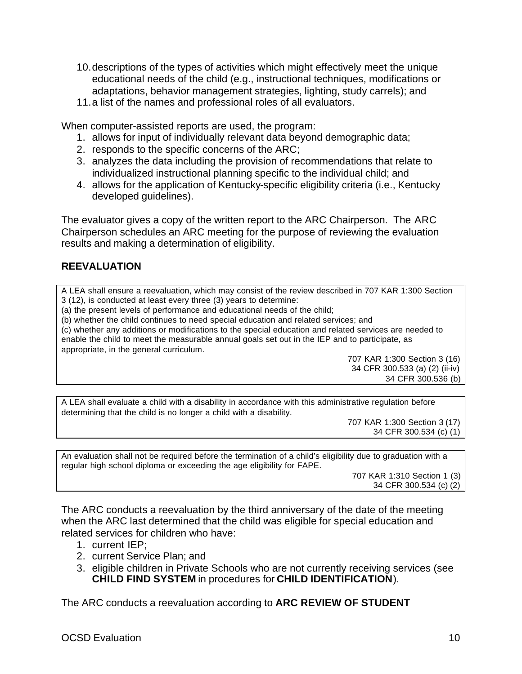- 10.descriptions of the types of activities which might effectively meet the unique educational needs of the child (e.g., instructional techniques, modifications or adaptations, behavior management strategies, lighting, study carrels); and
- 11.a list of the names and professional roles of all evaluators.

When computer-assisted reports are used, the program:

- 1. allows for input of individually relevant data beyond demographic data;
- 2. responds to the specific concerns of the ARC;
- 3. analyzes the data including the provision of recommendations that relate to individualized instructional planning specific to the individual child; and
- 4. allows for the application of Kentucky-specific eligibility criteria (i.e., Kentucky developed guidelines).

The evaluator gives a copy of the written report to the ARC Chairperson. The ARC Chairperson schedules an ARC meeting for the purpose of reviewing the evaluation results and making a determination of eligibility.

# **REEVALUATION**

A LEA shall ensure a reevaluation, which may consist of the review described in 707 KAR 1:300 Section 3 (12), is conducted at least every three (3) years to determine:

(a) the present levels of performance and educational needs of the child;

(b) whether the child continues to need special education and related services; and

(c) whether any additions or modifications to the special education and related services are needed to enable the child to meet the measurable annual goals set out in the IEP and to participate, as appropriate, in the general curriculum.

707 KAR 1:300 Section 3 (16) 34 CFR 300.533 (a) (2) (ii-iv) 34 CFR 300.536 (b)

A LEA shall evaluate a child with a disability in accordance with this administrative regulation before determining that the child is no longer a child with a disability.

707 KAR 1:300 Section 3 (17) 34 CFR 300.534 (c) (1)

An evaluation shall not be required before the termination of a child's eligibility due to graduation with a regular high school diploma or exceeding the age eligibility for FAPE.

707 KAR 1:310 Section 1 (3) 34 CFR 300.534 (c) (2)

The ARC conducts a reevaluation by the third anniversary of the date of the meeting when the ARC last determined that the child was eligible for special education and related services for children who have:

- 1. current IEP;
- 2. current Service Plan; and
- 3. eligible children in Private Schools who are not currently receiving services (see **CHILD FIND SYSTEM** in procedures for **CHILD IDENTIFICATION**).

The ARC conducts a reevaluation according to **ARC REVIEW OF STUDENT**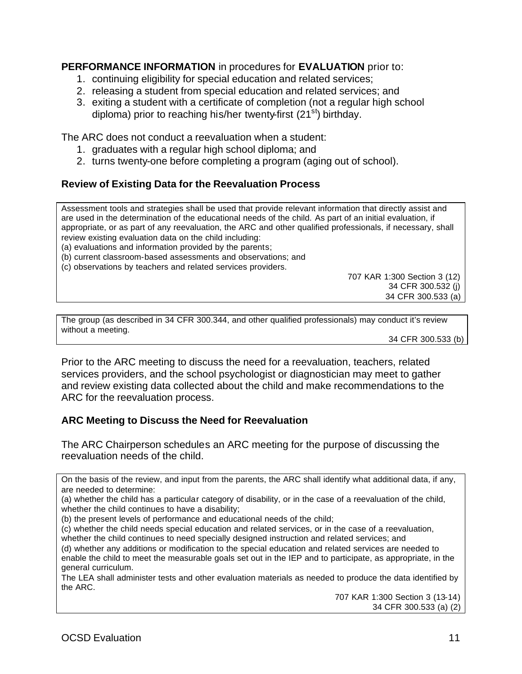# **PERFORMANCE INFORMATION** in procedures for **EVALUATION** prior to:

- 1. continuing eligibility for special education and related services;
- 2. releasing a student from special education and related services; and
- 3. exiting a student with a certificate of completion (not a regular high school diploma) prior to reaching his/her twenty-first  $(21<sup>st</sup>)$  birthday.

The ARC does not conduct a reevaluation when a student:

- 1. graduates with a regular high school diploma; and
- 2. turns twenty-one before completing a program (aging out of school).

## **Review of Existing Data for the Reevaluation Process**

Assessment tools and strategies shall be used that provide relevant information that directly assist and are used in the determination of the educational needs of the child. As part of an initial evaluation, if appropriate, or as part of any reevaluation, the ARC and other qualified professionals, if necessary, shall review existing evaluation data on the child including:

(a) evaluations and information provided by the parents;

(b) current classroom-based assessments and observations; and

(c) observations by teachers and related services providers.

707 KAR 1:300 Section 3 (12) 34 CFR 300.532 (j) 34 CFR 300.533 (a)

The group (as described in 34 CFR 300.344, and other qualified professionals) may conduct it's review without a meeting.

34 CFR 300.533 (b)

Prior to the ARC meeting to discuss the need for a reevaluation, teachers, related services providers, and the school psychologist or diagnostician may meet to gather and review existing data collected about the child and make recommendations to the ARC for the reevaluation process.

# **ARC Meeting to Discuss the Need for Reevaluation**

The ARC Chairperson schedules an ARC meeting for the purpose of discussing the reevaluation needs of the child.

On the basis of the review, and input from the parents, the ARC shall identify what additional data, if any, are needed to determine:

(a) whether the child has a particular category of disability, or in the case of a reevaluation of the child, whether the child continues to have a disability;

(b) the present levels of performance and educational needs of the child;

(c) whether the child needs special education and related services, or in the case of a reevaluation, whether the child continues to need specially designed instruction and related services; and

(d) whether any additions or modification to the special education and related services are needed to enable the child to meet the measurable goals set out in the IEP and to participate, as appropriate, in the general curriculum.

The LEA shall administer tests and other evaluation materials as needed to produce the data identified by the ARC.

707 KAR 1:300 Section 3 (13-14) 34 CFR 300.533 (a) (2)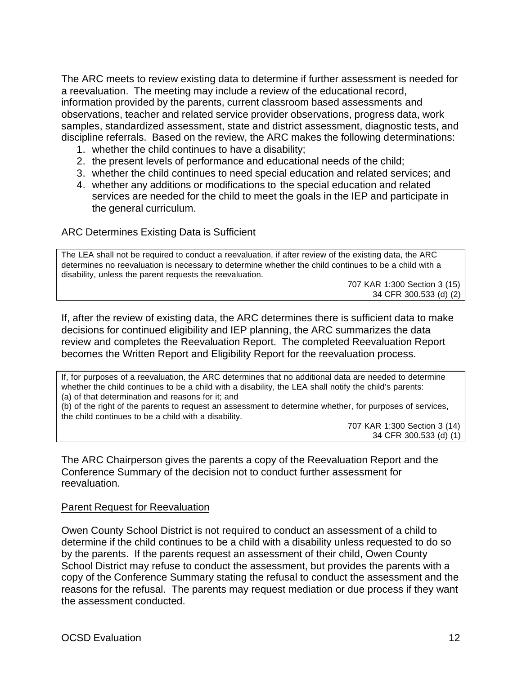The ARC meets to review existing data to determine if further assessment is needed for a reevaluation. The meeting may include a review of the educational record, information provided by the parents, current classroom based assessments and observations, teacher and related service provider observations, progress data, work samples, standardized assessment, state and district assessment, diagnostic tests, and discipline referrals. Based on the review, the ARC makes the following determinations:

- 1. whether the child continues to have a disability;
- 2. the present levels of performance and educational needs of the child;
- 3. whether the child continues to need special education and related services; and
- 4. whether any additions or modifications to the special education and related services are needed for the child to meet the goals in the IEP and participate in the general curriculum.

#### ARC Determines Existing Data is Sufficient

The LEA shall not be required to conduct a reevaluation, if after review of the existing data, the ARC determines no reevaluation is necessary to determine whether the child continues to be a child with a disability, unless the parent requests the reevaluation.

707 KAR 1:300 Section 3 (15) 34 CFR 300.533 (d) (2)

If, after the review of existing data, the ARC determines there is sufficient data to make decisions for continued eligibility and IEP planning, the ARC summarizes the data review and completes the Reevaluation Report. The completed Reevaluation Report becomes the Written Report and Eligibility Report for the reevaluation process.

If, for purposes of a reevaluation, the ARC determines that no additional data are needed to determine whether the child continues to be a child with a disability, the LEA shall notify the child's parents: (a) of that determination and reasons for it; and

(b) of the right of the parents to request an assessment to determine whether, for purposes of services, the child continues to be a child with a disability.

707 KAR 1:300 Section 3 (14) 34 CFR 300.533 (d) (1)

The ARC Chairperson gives the parents a copy of the Reevaluation Report and the Conference Summary of the decision not to conduct further assessment for reevaluation.

#### Parent Request for Reevaluation

Owen County School District is not required to conduct an assessment of a child to determine if the child continues to be a child with a disability unless requested to do so by the parents. If the parents request an assessment of their child, Owen County School District may refuse to conduct the assessment, but provides the parents with a copy of the Conference Summary stating the refusal to conduct the assessment and the reasons for the refusal. The parents may request mediation or due process if they want the assessment conducted.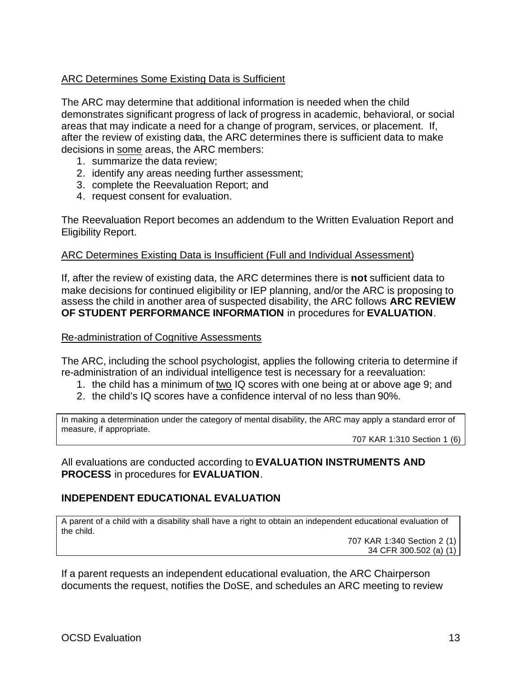# ARC Determines Some Existing Data is Sufficient

The ARC may determine that additional information is needed when the child demonstrates significant progress of lack of progress in academic, behavioral, or social areas that may indicate a need for a change of program, services, or placement. If, after the review of existing data, the ARC determines there is sufficient data to make decisions in some areas, the ARC members:

- 1. summarize the data review;
- 2. identify any areas needing further assessment;
- 3. complete the Reevaluation Report; and
- 4. request consent for evaluation.

The Reevaluation Report becomes an addendum to the Written Evaluation Report and Eligibility Report.

#### ARC Determines Existing Data is Insufficient (Full and Individual Assessment)

If, after the review of existing data, the ARC determines there is **not** sufficient data to make decisions for continued eligibility or IEP planning, and/or the ARC is proposing to assess the child in another area of suspected disability, the ARC follows **ARC REVIEW OF STUDENT PERFORMANCE INFORMATION** in procedures for **EVALUATION**.

#### Re-administration of Cognitive Assessments

The ARC, including the school psychologist, applies the following criteria to determine if re-administration of an individual intelligence test is necessary for a reevaluation:

- 1. the child has a minimum of two IQ scores with one being at or above age 9; and
- 2. the child's IQ scores have a confidence interval of no less than 90%.

In making a determination under the category of mental disability, the ARC may apply a standard error of measure, if appropriate.

707 KAR 1:310 Section 1 (6)

All evaluations are conducted according to **EVALUATION INSTRUMENTS AND PROCESS** in procedures for **EVALUATION**.

## **INDEPENDENT EDUCATIONAL EVALUATION**

A parent of a child with a disability shall have a right to obtain an independent educational evaluation of the child.

707 KAR 1:340 Section 2 (1) 34 CFR 300.502 (a) (1)

If a parent requests an independent educational evaluation, the ARC Chairperson documents the request, notifies the DoSE, and schedules an ARC meeting to review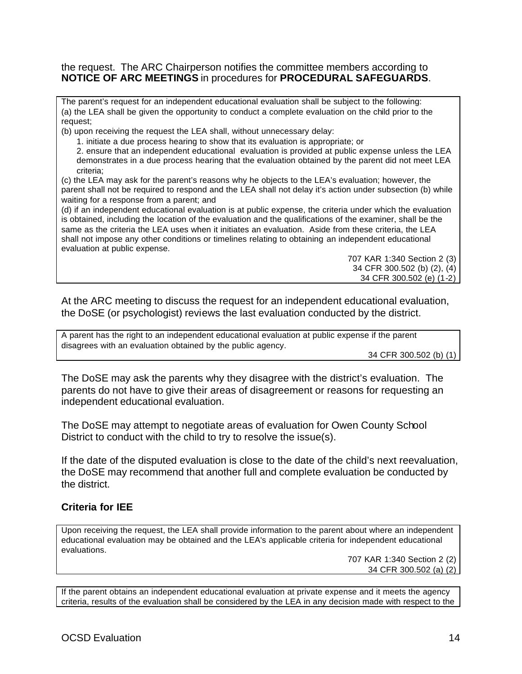#### the request. The ARC Chairperson notifies the committee members according to **NOTICE OF ARC MEETINGS** in procedures for **PROCEDURAL SAFEGUARDS**.

The parent's request for an independent educational evaluation shall be subject to the following: (a) the LEA shall be given the opportunity to conduct a complete evaluation on the child prior to the request;

(b) upon receiving the request the LEA shall, without unnecessary delay:

1. initiate a due process hearing to show that its evaluation is appropriate; or

2. ensure that an independent educational evaluation is provided at public expense unless the LEA demonstrates in a due process hearing that the evaluation obtained by the parent did not meet LEA criteria;

(c) the LEA may ask for the parent's reasons why he objects to the LEA's evaluation; however, the parent shall not be required to respond and the LEA shall not delay it's action under subsection (b) while waiting for a response from a parent; and

(d) if an independent educational evaluation is at public expense, the criteria under which the evaluation is obtained, including the location of the evaluation and the qualifications of the examiner, shall be the same as the criteria the LEA uses when it initiates an evaluation. Aside from these criteria, the LEA shall not impose any other conditions or timelines relating to obtaining an independent educational evaluation at public expense.

> 707 KAR 1:340 Section 2 (3) 34 CFR 300.502 (b) (2), (4) 34 CFR 300.502 (e) (1-2)

At the ARC meeting to discuss the request for an independent educational evaluation, the DoSE (or psychologist) reviews the last evaluation conducted by the district.

A parent has the right to an independent educational evaluation at public expense if the parent disagrees with an evaluation obtained by the public agency.

34 CFR 300.502 (b) (1)

The DoSE may ask the parents why they disagree with the district's evaluation. The parents do not have to give their areas of disagreement or reasons for requesting an independent educational evaluation.

The DoSE may attempt to negotiate areas of evaluation for Owen County School District to conduct with the child to try to resolve the issue(s).

If the date of the disputed evaluation is close to the date of the child's next reevaluation, the DoSE may recommend that another full and complete evaluation be conducted by the district.

## **Criteria for IEE**

Upon receiving the request, the LEA shall provide information to the parent about where an independent educational evaluation may be obtained and the LEA's applicable criteria for independent educational evaluations.

707 KAR 1:340 Section 2 (2) 34 CFR 300.502 (a) (2)

If the parent obtains an independent educational evaluation at private expense and it meets the agency criteria, results of the evaluation shall be considered by the LEA in any decision made with respect to the